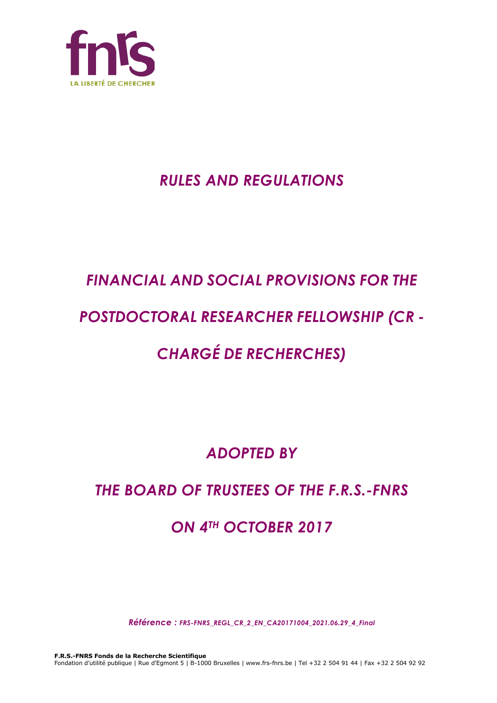

## *RULES AND REGULATIONS*

## *FINANCIAL AND SOCIAL PROVISIONS FOR THE*

## *POSTDOCTORAL RESEARCHER FELLOWSHIP (CR -*

# *CHARGÉ DE RECHERCHES)*

## *ADOPTED BY*

## *THE BOARD OF TRUSTEES OF THE F.R.S.-FNRS*

## *ON 4TH OCTOBER 2017*

*Référence : FRS-FNRS\_REGL\_CR\_2\_EN\_CA20171004\_2021.06.29\_4\_Final*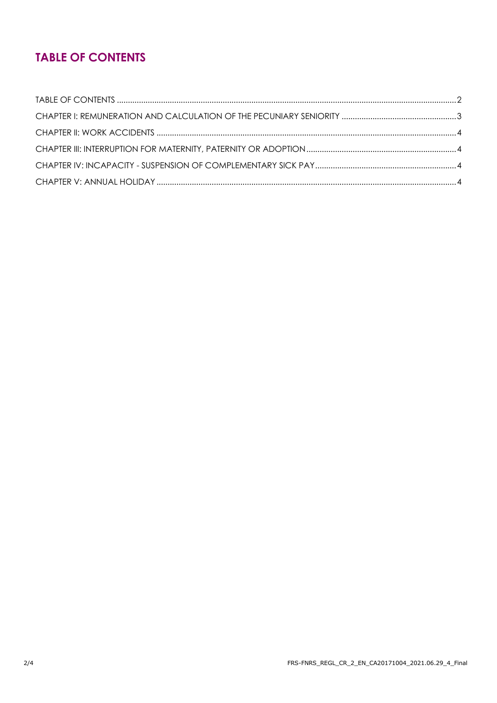### **TABLE OF CONTENTS**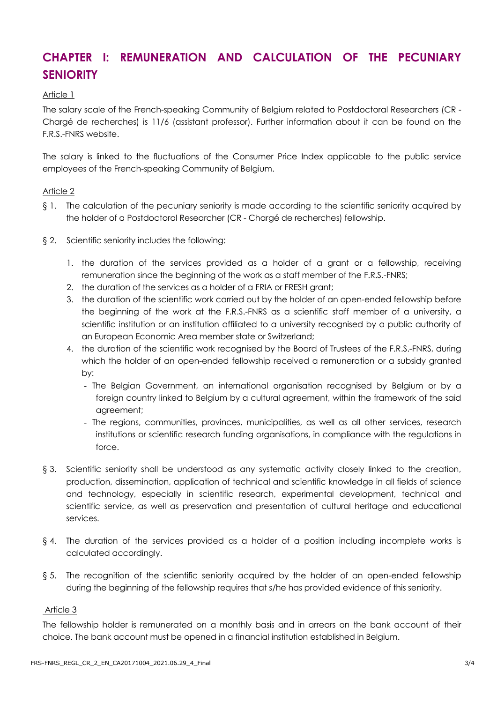### **CHAPTER I: REMUNERATION AND CALCULATION OF THE PECUNIARY SENIORITY**

#### Article 1

The salary scale of the French-speaking Community of Belgium related to Postdoctoral Researchers (CR - Chargé de recherches) is 11/6 (assistant professor). Further information about it can be found on the F.R.S.-FNRS website.

The salary is linked to the fluctuations of the Consumer Price Index applicable to the public service employees of the French-speaking Community of Belgium.

#### Article 2

- § 1. The calculation of the pecuniary seniority is made according to the scientific seniority acquired by the holder of a Postdoctoral Researcher (CR - Chargé de recherches) fellowship.
- § 2. Scientific seniority includes the following:
	- 1. the duration of the services provided as a holder of a grant or a fellowship, receiving remuneration since the beginning of the work as a staff member of the F.R.S.-FNRS;
	- 2. the duration of the services as a holder of a FRIA or FRESH grant;
	- 3. the duration of the scientific work carried out by the holder of an open-ended fellowship before the beginning of the work at the F.R.S.-FNRS as a scientific staff member of a university, a scientific institution or an institution affiliated to a university recognised by a public authority of an European Economic Area member state or Switzerland;
	- 4. the duration of the scientific work recognised by the Board of Trustees of the F.R.S.-FNRS, during which the holder of an open-ended fellowship received a remuneration or a subsidy granted by:
		- The Belgian Government, an international organisation recognised by Belgium or by a foreign country linked to Belgium by a cultural agreement, within the framework of the said agreement;
		- The regions, communities, provinces, municipalities, as well as all other services, research institutions or scientific research funding organisations, in compliance with the regulations in force.
- § 3. Scientific seniority shall be understood as any systematic activity closely linked to the creation, production, dissemination, application of technical and scientific knowledge in all fields of science and technology, especially in scientific research, experimental development, technical and scientific service, as well as preservation and presentation of cultural heritage and educational services.
- § 4. The duration of the services provided as a holder of a position including incomplete works is calculated accordingly.
- § 5. The recognition of the scientific seniority acquired by the holder of an open-ended fellowship during the beginning of the fellowship requires that s/he has provided evidence of this seniority.

#### Article 3

The fellowship holder is remunerated on a monthly basis and in arrears on the bank account of their choice. The bank account must be opened in a financial institution established in Belgium.